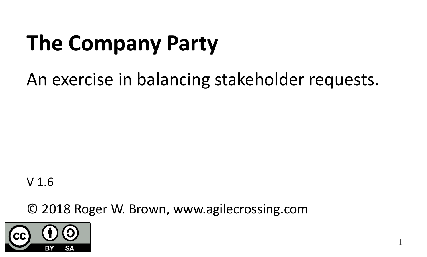# **The Company Party**

An exercise in balancing stakeholder requests.

V 1.6

© 2018 Roger W. Brown, www.agilecrossing.com

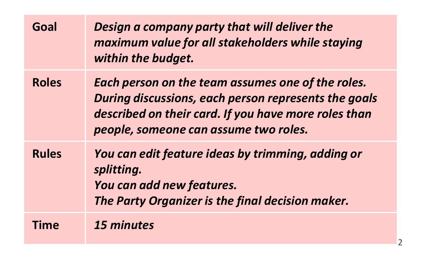| Goal         | Design a company party that will deliver the<br>maximum value for all stakeholders while staying<br>within the budget.                                                                                     |
|--------------|------------------------------------------------------------------------------------------------------------------------------------------------------------------------------------------------------------|
| <b>Roles</b> | Each person on the team assumes one of the roles.<br>During discussions, each person represents the goals<br>described on their card. If you have more roles than<br>people, someone can assume two roles. |
| <b>Rules</b> | You can edit feature ideas by trimming, adding or<br>splitting.<br>You can add new features.<br>The Party Organizer is the final decision maker.                                                           |
| Time         | 15 minutes                                                                                                                                                                                                 |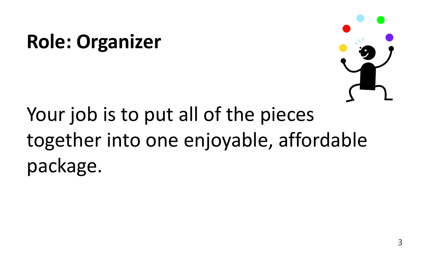#### **Role: Organizer**



# Your job is to put all of the pieces together into one enjoyable, affordable package.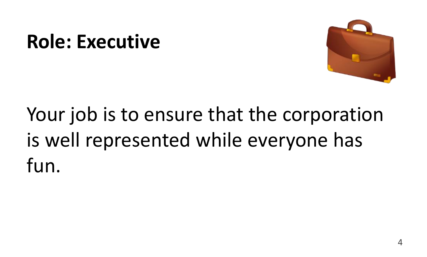#### **Role: Executive**



# Your job is to ensure that the corporation is well represented while everyone has fun.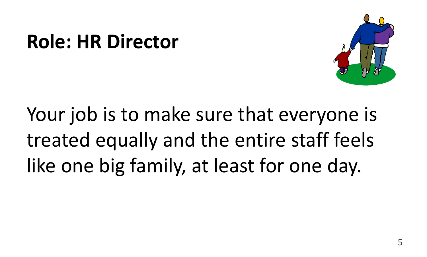#### **Role: HR Director**



Your job is to make sure that everyone is treated equally and the entire staff feels like one big family, at least for one day.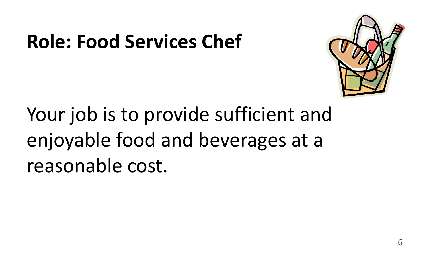#### **Role: Food Services Chef**



Your job is to provide sufficient and enjoyable food and beverages at a reasonable cost.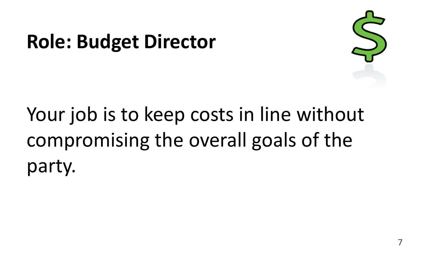#### **Role: Budget Director**



# Your job is to keep costs in line without compromising the overall goals of the party.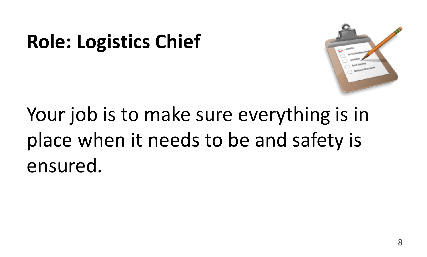#### **Role: Logistics Chief**



Your job is to make sure everything is in place when it needs to be and safety is ensured.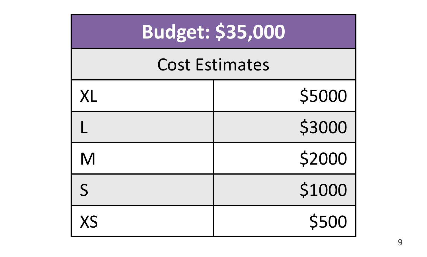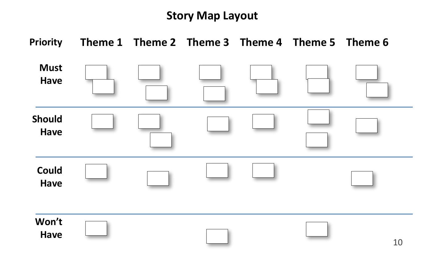#### **Story Map Layout**

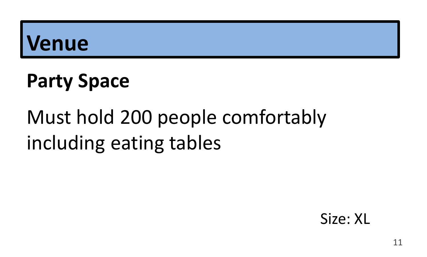#### **Party Space**

# Must hold 200 people comfortably including eating tables

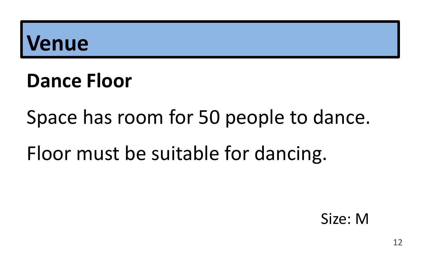#### **Dance Floor**

#### Space has room for 50 people to dance.

#### Floor must be suitable for dancing.

Size: M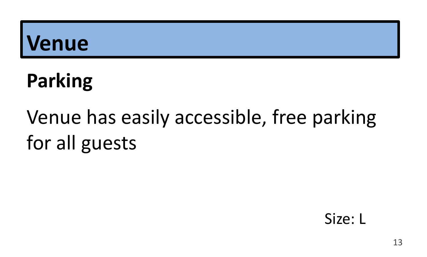# **Parking**

# Venue has easily accessible, free parking for all guests

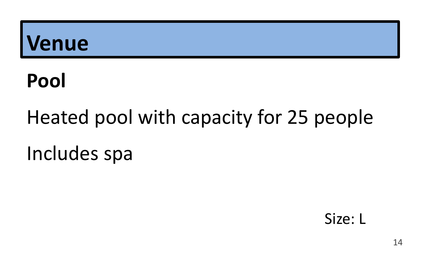#### Pool

# Heated pool with capacity for 25 people Includes spa

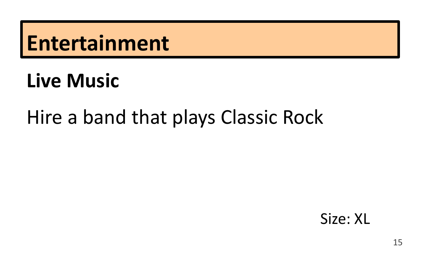#### **Live Music**

#### Hire a band that plays Classic Rock

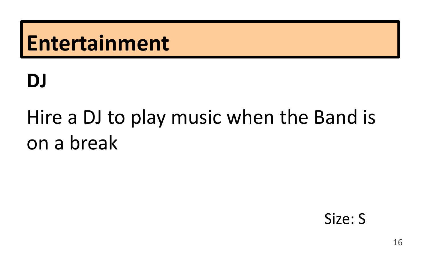#### **DJ**

# Hire a DJ to play music when the Band is on a break

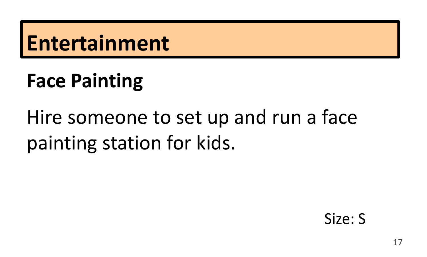### **Face Painting**

# Hire someone to set up and run a face painting station for kids.

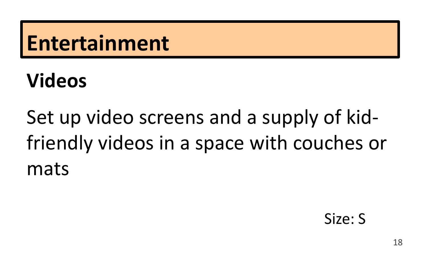### **Videos**

Set up video screens and a supply of kidfriendly videos in a space with couches or mats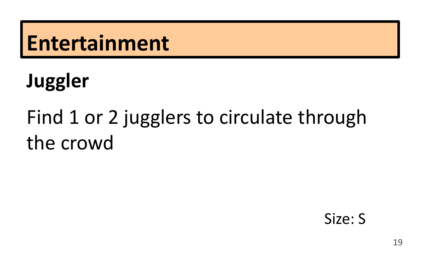# **Juggler**

# Find 1 or 2 jugglers to circulate through the crowd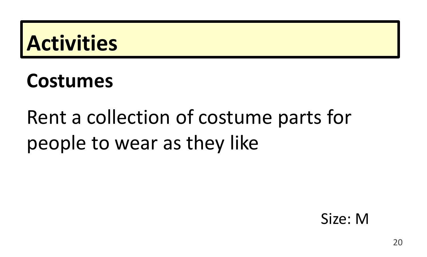### **Activities**

#### **Costumes**

# Rent a collection of costume parts for people to wear as they like

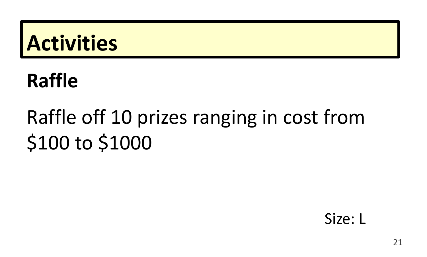### **Activities**

#### **Raffle**

# Raffle off 10 prizes ranging in cost from \$100 to \$1000

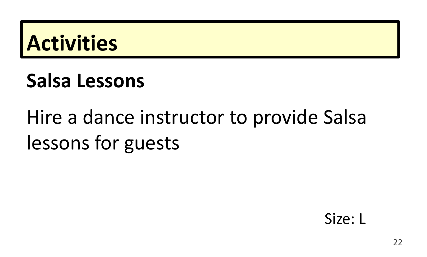

#### Salsa Lessons

# Hire a dance instructor to provide Salsa lessons for guests

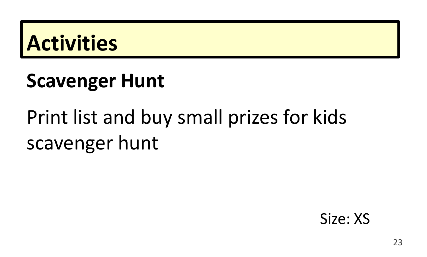### **Activities**

#### **Scavenger Hunt**

# Print list and buy small prizes for kids scavenger hunt

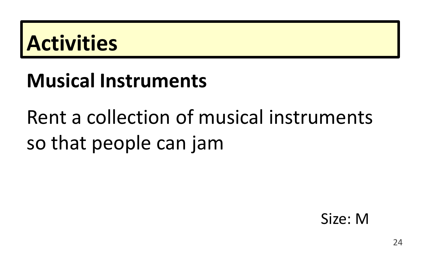### **Activities**

#### **Musical Instruments**

# Rent a collection of musical instruments so that people can jam

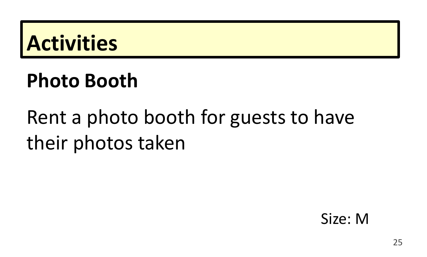

#### **Photo Booth**

# Rent a photo booth for guests to have their photos taken

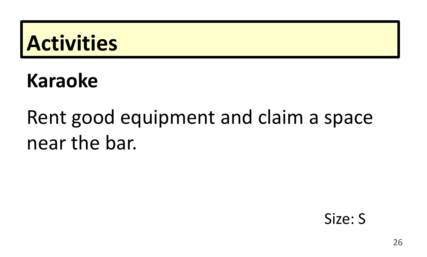#### **Activities**

#### **Karaoke**

# Rent good equipment and claim a space near the bar.

#### Size: S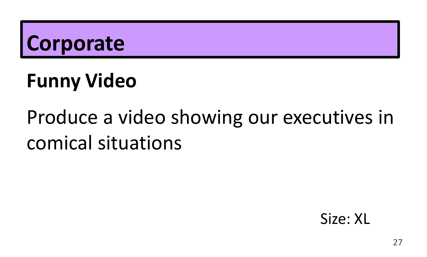## **Funny Video**

# Produce a video showing our executives in comical situations

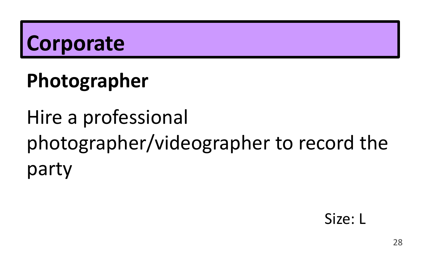# Photographer

# Hire a professional photographer/videographer to record the party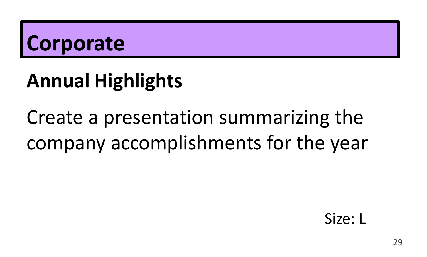### **Annual Highlights**

# Create a presentation summarizing the company accomplishments for the year

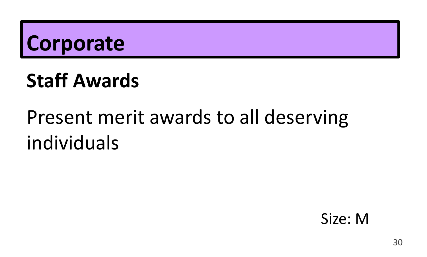### **Staff Awards**

# Present merit awards to all deserving individuals

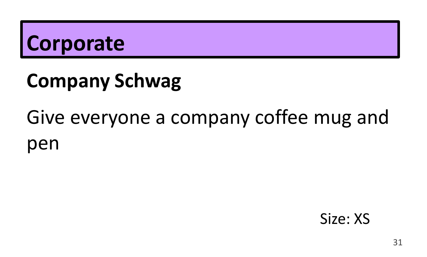# **Company Schwag**

# Give everyone a company coffee mug and pen

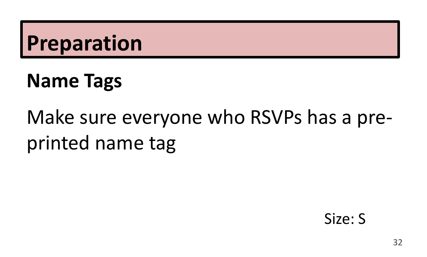#### **Name Tags**

# Make sure everyone who RSVPs has a preprinted name tag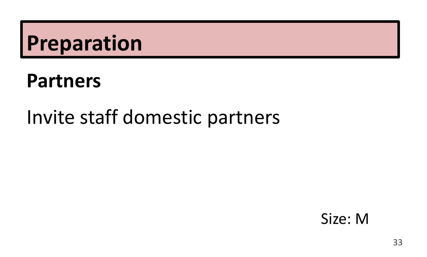#### **Partners**

#### Invite staff domestic partners

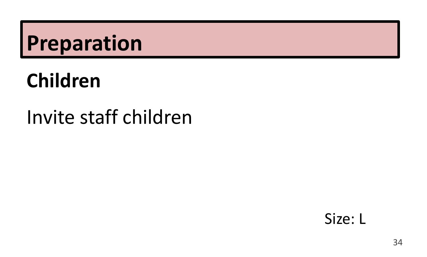#### **Children**

#### Invite staff children

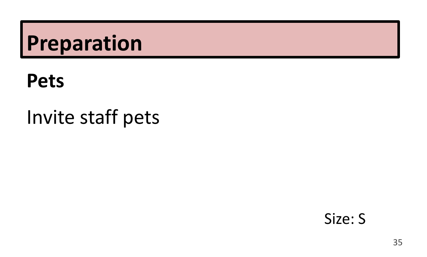#### **Pets**

### Invite staff pets

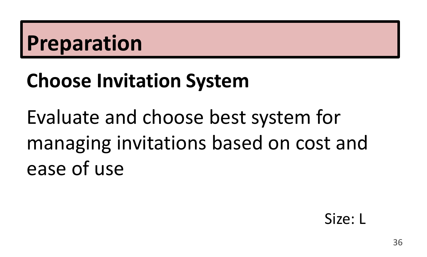#### **Choose Invitation System**

Evaluate and choose best system for managing invitations based on cost and ease of use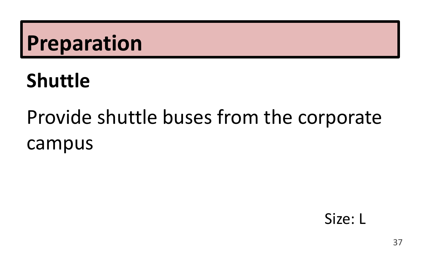#### **Shuttle**

# Provide shuttle buses from the corporate campus

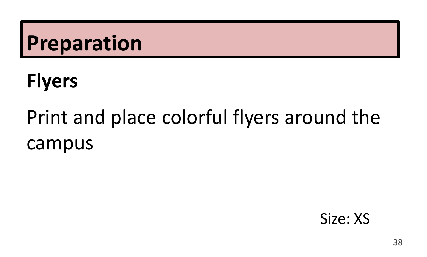# **Flyers**

# Print and place colorful flyers around the campus

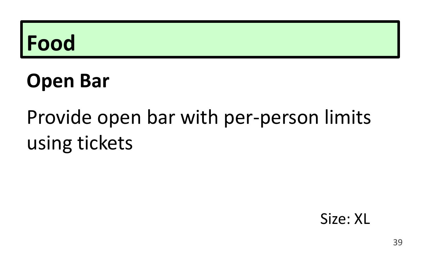#### **Open Bar**

# Provide open bar with per-person limits using tickets

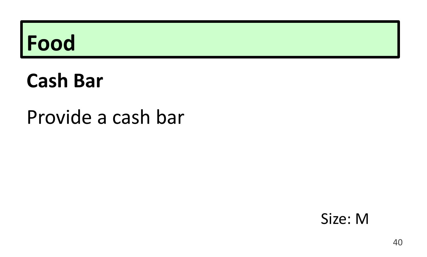#### **Cash Bar**

#### Provide a cash bar

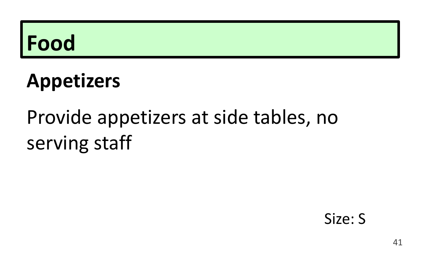### **Appetizers**

# Provide appetizers at side tables, no serving staff

#### Size: S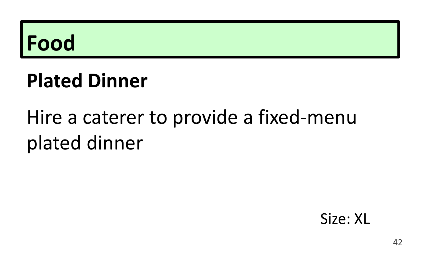#### **Plated Dinner**

# Hire a caterer to provide a fixed-menu plated dinner

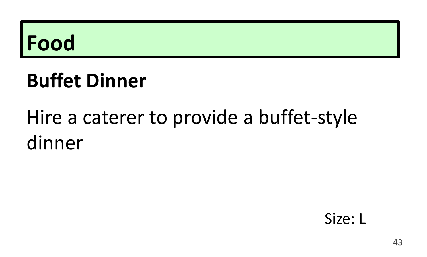#### **Buffet Dinner**

# Hire a caterer to provide a buffet-style dinner

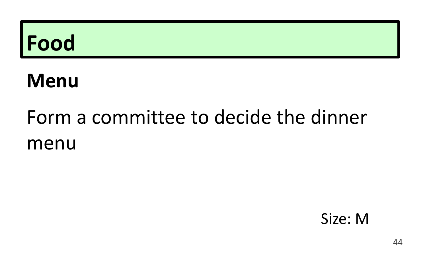#### **Menu**

# Form a committee to decide the dinner menu

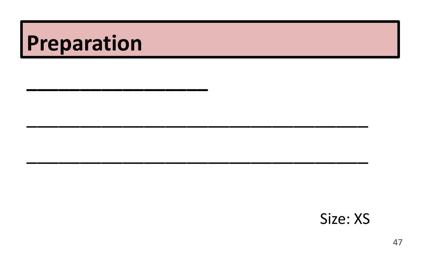#### Size: XS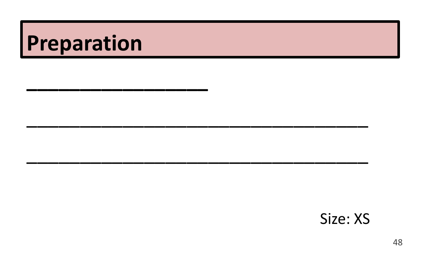#### Size: XS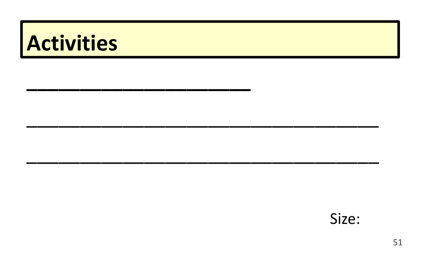# Activities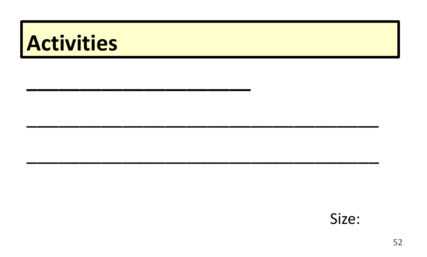# Activities